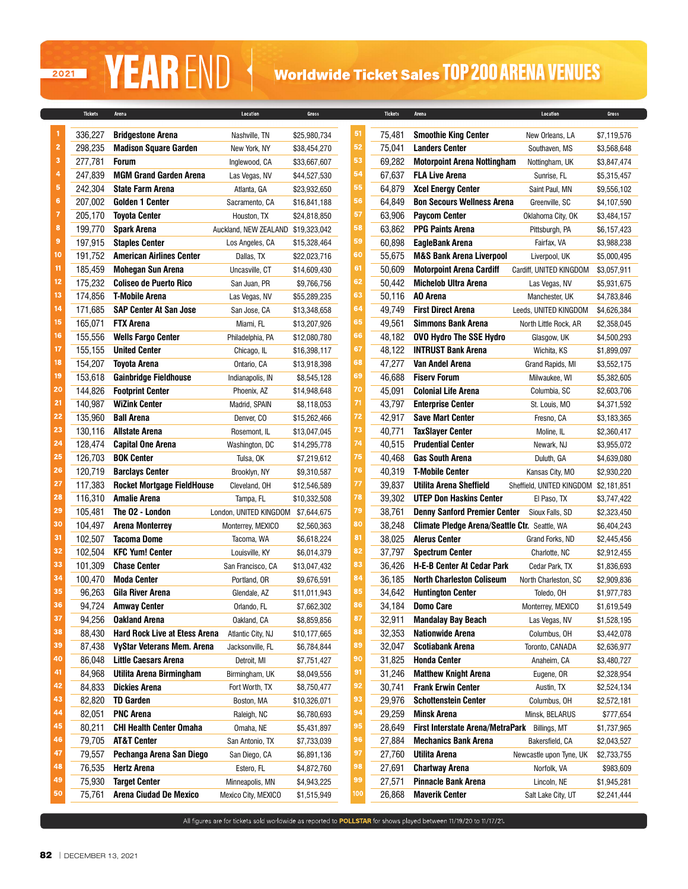## 2021

# **YEAR** END Vorldwide Ticket Sales TOP 200 ARENA VENUES

|                | <b>Tickets</b>   | Arena                                                 | Location                           | Gross        |          | <b>Tickets</b>   | Arena                                                | Location                              | Gross       |
|----------------|------------------|-------------------------------------------------------|------------------------------------|--------------|----------|------------------|------------------------------------------------------|---------------------------------------|-------------|
| 1              | 336,227          | <b>Bridgestone Arena</b>                              |                                    | \$25,980,734 | 51       | 75,481           | <b>Smoothie King Center</b>                          |                                       | \$7,119,576 |
| $\overline{2}$ | 298,235          | <b>Madison Square Garden</b>                          | Nashville, TN<br>New York, NY      | \$38,454,270 | 52       | 75,041           | <b>Landers Center</b>                                | New Orleans, LA<br>Southaven, MS      | \$3.568.648 |
| 3              | 277,781          | <b>Forum</b>                                          | Inglewood, CA                      | \$33,667,607 | 53       | 69,282           | <b>Motorpoint Arena Nottingham</b>                   | Nottingham, UK                        | \$3,847,474 |
| 4              | 247,839          | <b>MGM Grand Garden Arena</b>                         | Las Vegas, NV                      | \$44,527,530 | 54       | 67,637           | <b>FLA Live Arena</b>                                | Sunrise, FL                           | \$5,315,457 |
| 5              | 242,304          | <b>State Farm Arena</b>                               | Atlanta, GA                        | \$23,932,650 | 55       | 64,879           | <b>Xcel Energy Center</b>                            | Saint Paul, MN                        | \$9,556,102 |
| 6              | 207,002          | <b>Golden 1 Center</b>                                | Sacramento, CA                     | \$16,841,188 | 56       | 64,849           | <b>Bon Secours Wellness Arena</b>                    | Greenville, SC                        | \$4,107,590 |
| 7              | 205,170          | <b>Toyota Center</b>                                  | Houston, TX                        | \$24,818,850 | 57       | 63,906           | <b>Paycom Center</b>                                 | Oklahoma City, OK                     | \$3,484,157 |
| 8              | 199,770          | <b>Spark Arena</b>                                    | Auckland, NEW ZEALAND \$19,323,042 |              | 58       | 63,862           | <b>PPG Paints Arena</b>                              | Pittsburgh, PA                        | \$6,157,423 |
| 9              | 197,915          | <b>Staples Center</b>                                 | Los Angeles, CA                    | \$15,328,464 | 59       | 60,898           | <b>EagleBank Arena</b>                               | Fairfax, VA                           | \$3,988,238 |
| 10             | 191,752          | <b>American Airlines Center</b>                       | Dallas, TX                         | \$22,023,716 | 60       | 55,675           | <b>M&amp;S Bank Arena Liverpool</b>                  | Liverpool, UK                         | \$5,000,495 |
| 11             | 185,459          | <b>Mohegan Sun Arena</b>                              | Uncasville, CT                     | \$14,609,430 | 61       | 50,609           | <b>Motorpoint Arena Cardiff</b>                      | Cardiff, UNITED KINGDOM               | \$3,057,911 |
| 12             | 175,232          | <b>Coliseo de Puerto Rico</b>                         | San Juan, PR                       | \$9,766,756  | 62       | 50,442           | <b>Michelob Ultra Arena</b>                          | Las Vegas, NV                         | \$5,931,675 |
| 13             | 174,856          | <b>T-Mobile Arena</b>                                 | Las Vegas, NV                      | \$55,289,235 | 63       | 50,116           | AO Arena                                             | Manchester, UK                        | \$4,783,846 |
| 14             | 171,685          | <b>SAP Center At San Jose</b>                         | San Jose, CA                       | \$13,348,658 | 64       | 49,749           | <b>First Direct Arena</b>                            | Leeds, UNITED KINGDOM                 | \$4,626,384 |
| 15             | 165,071          | <b>FTX Arena</b>                                      | Miami, FL                          | \$13,207,926 | 65       | 49,561           | <b>Simmons Bank Arena</b>                            | North Little Rock, AR                 | \$2,358,045 |
| 16             | 155,556          | <b>Wells Fargo Center</b>                             | Philadelphia, PA                   | \$12,080,780 | 66       | 48,182           | <b>OVO Hydro The SSE Hydro</b>                       | Glasgow, UK                           | \$4,500,293 |
| 17             | 155,155          | <b>United Center</b>                                  | Chicago, IL                        | \$16,398,117 | 67       | 48,122           | <b>INTRUST Bank Arena</b>                            | Wichita, KS                           | \$1,899,097 |
| 18             | 154,207          | <b>Toyota Arena</b>                                   | Ontario, CA                        | \$13,918,398 | 68       | 47,277           | Van Andel Arena                                      | Grand Rapids, MI                      | \$3,552,175 |
| 19             | 153,618          | <b>Gainbridge Fieldhouse</b>                          | Indianapolis, IN                   | \$8,545,128  | 69       | 46,688           | <b>Fisery Forum</b>                                  | Milwaukee, WI                         | \$5,382,605 |
| 20             | 144,826          | <b>Footprint Center</b>                               | Phoenix, AZ                        | \$14,948,648 | 70       | 45,091           | <b>Colonial Life Arena</b>                           | Columbia, SC                          | \$2,603,706 |
| 21             | 140,987          | <b>WiZink Center</b>                                  | Madrid, SPAIN                      | \$8,118,053  | 71       | 43,797           | <b>Enterprise Center</b>                             | St. Louis, MO                         | \$4,371,592 |
| 22             | 135,960          | <b>Ball Arena</b>                                     | Denver, CO                         | \$15,262,466 | 72       | 42,917           | <b>Save Mart Center</b>                              | Fresno, CA                            | \$3,183,365 |
| 23             | 130,116          | <b>Allstate Arena</b>                                 | Rosemont, IL                       | \$13,047,045 | 73       | 40,771           | <b>TaxSlayer Center</b>                              | Moline, IL                            | \$2,360,417 |
| 24             | 128,474          | <b>Capital One Arena</b>                              | Washington, DC                     | \$14,295,778 | 74       | 40,515           | <b>Prudential Center</b>                             | Newark, NJ                            | \$3,955,072 |
| 25             | 126,703          | <b>BOK Center</b>                                     | Tulsa, OK                          | \$7,219,612  | 75       | 40,468           | <b>Gas South Arena</b>                               | Duluth, GA                            | \$4,639,080 |
| 26             | 120,719          | <b>Barclays Center</b>                                | Brooklyn, NY                       | \$9,310,587  | 76       | 40,319           | <b>T-Mobile Center</b>                               | Kansas City, MO                       | \$2,930,220 |
| 27             | 117,383          | <b>Rocket Mortgage FieldHouse</b>                     | Cleveland, OH                      | \$12,546,589 | 77       | 39,837           | Utilita Arena Sheffield                              | Sheffield, UNITED KINGDOM \$2,181,851 |             |
| 28             | 116,310          | <b>Amalie Arena</b>                                   | Tampa, FL                          | \$10,332,508 | 78       | 39,302           | <b>UTEP Don Haskins Center</b>                       | El Paso, TX                           | \$3,747,422 |
| 29             | 105,481          | The O2 - London                                       | London, UNITED KINGDOM \$7,644,675 |              | 79       | 38,761           | <b>Denny Sanford Premier Center</b>                  | Sioux Falls, SD                       | \$2,323,450 |
| 30             | 104,497          | <b>Arena Monterrey</b>                                | Monterrey, MEXICO                  | \$2,560,363  | 80       | 38,248           | <b>Climate Pledge Arena/Seattle Ctr. Seattle, WA</b> |                                       | \$6,404,243 |
| 31             | 102,507          | <b>Tacoma Dome</b>                                    | Tacoma, WA                         | \$6,618,224  | 81       | 38,025           | <b>Alerus Center</b>                                 | Grand Forks, ND                       | \$2,445,456 |
| 32             | 102,504          | <b>KFC Yum! Center</b>                                | Louisville, KY                     | \$6,014,379  | 82       | 37,797           | <b>Spectrum Center</b>                               | Charlotte, NC                         | \$2,912,455 |
| 33             | 101,309          | <b>Chase Center</b>                                   | San Francisco, CA                  | \$13,047,432 | 83       | 36,426           | <b>H-E-B Center At Cedar Park</b>                    | Cedar Park, TX                        | \$1,836,693 |
| 34             | 100,470          | <b>Moda Center</b>                                    | Portland, OR                       | \$9,676,591  | 84       | 36,185           | <b>North Charleston Coliseum</b>                     | North Charleston, SC                  | \$2,909,836 |
| 35             | 96,263           | Gila River Arena                                      | Glendale, AZ                       | \$11,011,943 | 85       | 34,642           | <b>Huntington Center</b>                             | Toledo, OH                            | \$1,977,783 |
| 36             | 94.724           | <b>Amway Center</b>                                   | Orlando, FL                        | \$7,662,302  | 86       | 34,184           | <b>Domo Care</b>                                     | Monterrey, MEXICO                     | \$1,619,549 |
| 37             | 94,256           | <b>Oakland Arena</b>                                  | Oakland, CA                        | \$8,859,856  | 87       | 32,911           | <b>Mandalay Bay Beach</b>                            | Las Vegas, NV                         | \$1,528,195 |
| 38             | 88,430           | <b>Hard Rock Live at Etess Arena</b>                  | Atlantic City, NJ                  | \$10,177,665 | 88       | 32,353           | <b>Nationwide Arena</b>                              | Columbus, OH                          | \$3,442,078 |
| 39             | 87,438           | <b>VyStar Veterans Mem. Arena</b>                     | Jacksonville, FL                   | \$6,784,844  | 89       | 32,047           | <b>Scotiabank Arena</b>                              | Toronto, CANADA                       | \$2,636,977 |
| 40             | 86,048           | <b>Little Caesars Arena</b>                           | Detroit, MI                        | \$7,751,427  | 90       | 31,825           | <b>Honda Center</b>                                  | Anaheim, CA                           | \$3,480,727 |
| 41<br>42       | 84,968           | Utilita Arena Birmingham                              | Birmingham, UK                     | \$8,049,556  | 91       | 31,246           | <b>Matthew Knight Arena</b>                          | Eugene, OR                            | \$2,328,954 |
| 43             | 84,833           | <b>Dickies Arena</b>                                  | Fort Worth, TX                     | \$8,750,477  | 92       | 30,741           | <b>Frank Erwin Center</b>                            | Austin, TX                            | \$2,524,134 |
| 44             | 82,820           | <b>TD Garden</b>                                      | Boston, MA                         | \$10,326,071 | 93<br>94 | 29,976           | <b>Schottenstein Center</b>                          | Columbus, OH                          | \$2,572,181 |
| 45             | 82,051           | <b>PNC Arena</b>                                      | Raleigh, NC                        | \$6,780,693  | 95       | 29,259           | <b>Minsk Arena</b>                                   | Minsk, BELARUS                        | \$777,654   |
| 46             | 80,211           | <b>CHI Health Center Omaha</b>                        | Omaha, NE                          | \$5,431,897  | 96       | 28,649           | First Interstate Arena/MetraPark Billings, MT        |                                       | \$1,737,965 |
| 47             | 79,705           | <b>AT&amp;T Center</b>                                | San Antonio, TX                    | \$7,733,039  | 97       | 27,884           | <b>Mechanics Bank Arena</b>                          | Bakersfield, CA                       | \$2,043,527 |
| 48             | 79,557           | Pechanga Arena San Diego                              | San Diego, CA                      | \$6,891,136  | 98       | 27,760           | <b>Utilita Arena</b>                                 | Newcastle upon Tyne, UK               | \$2,733,755 |
| 49             | 76,535           | Hertz Arena                                           | Estero, FL                         | \$4,872,760  | 99       | 27,691           | <b>Chartway Arena</b>                                | Norfolk, VA                           | \$983,609   |
| 50             | 75,930<br>75,761 | <b>Target Center</b><br><b>Arena Ciudad De Mexico</b> | Minneapolis, MN                    | \$4,943,225  | 100      | 27,571<br>26,868 | <b>Pinnacle Bank Arena</b><br><b>Maverik Center</b>  | Lincoln, NE                           | \$1,945,281 |
|                |                  |                                                       | Mexico City, MEXICO                | \$1,515,949  |          |                  |                                                      | Salt Lake City, UT                    | \$2,241,444 |

All figures are for tickets sold worldwide as reported to POLLSTAR for shows played between 11/19/20 to 11/17/21.